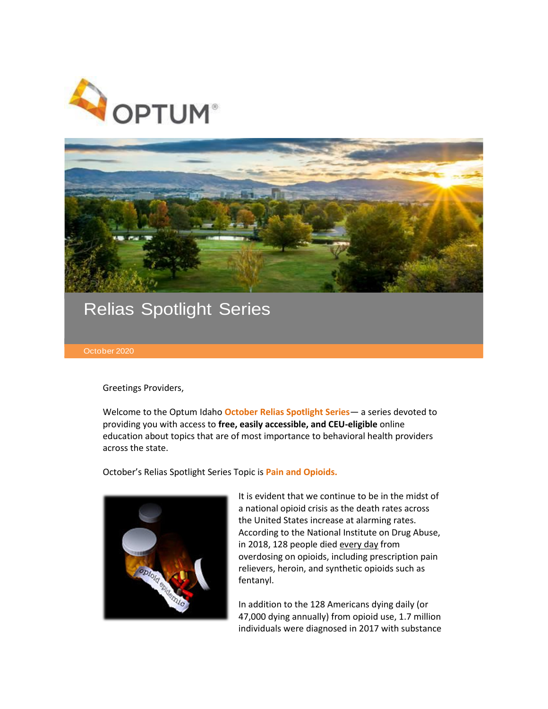



## Relias Spotlight Series

Greetings Providers,

Welcome to the Optum Idaho **October Relias Spotlight Series**— a series devoted to providing you with access to **free, easily accessible, and CEU-eligible** online education about topics that are of most importance to behavioral health providers across the state.

October's Relias Spotlight Series Topic is **Pain and Opioids.** 



It is evident that we continue to be in the midst of a national opioid crisis as the death rates across the United States increase at alarming rates. According to the National Institute on Drug Abuse, in 2018, 128 people died every day from overdosing on opioids, including prescription pain relievers, heroin, and synthetic opioids such as fentanyl.

In addition to the 128 Americans dying daily (or 47,000 dying annually) from opioid use, 1.7 million individuals were diagnosed in 2017 with substance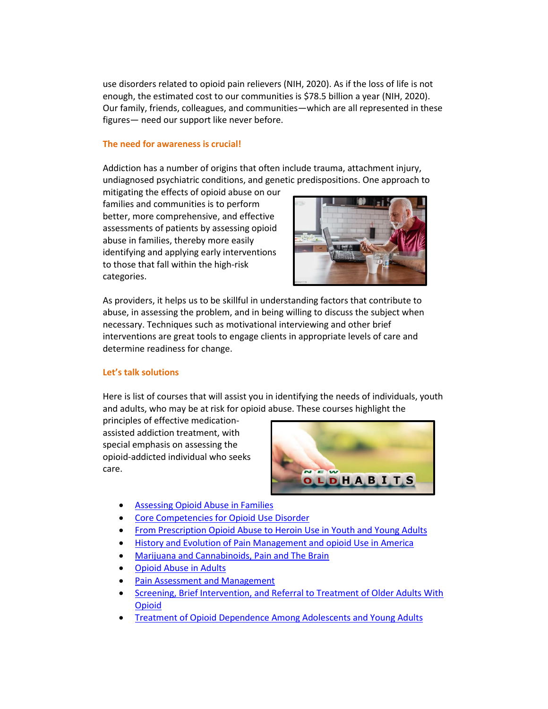use disorders related to opioid pain relievers (NIH, 2020). As if the loss of life is not enough, the estimated cost to our communities is \$78.5 billion a year (NIH, 2020). Our family, friends, colleagues, and communities—which are all represented in these figures— need our support like never before.

## **The need for awareness is crucial!**

Addiction has a number of origins that often include trauma, attachment injury, undiagnosed psychiatric conditions, and genetic predispositions. One approach to

mitigating the effects of opioid abuse on our families and communities is to perform better, more comprehensive, and effective assessments of patients by assessing opioid abuse in families, thereby more easily identifying and applying early interventions to those that fall within the high-risk categories.



As providers, it helps us to be skillful in understanding factors that contribute to abuse, in assessing the problem, and in being willing to discuss the subject when necessary. Techniques such as motivational interviewing and other brief interventions are great tools to engage clients in appropriate levels of care and determine readiness for change.

## **Let's talk solutions**

Here is list of courses that will assist you in identifying the needs of individuals, youth and adults, who may be at risk for opioid abuse. These courses highlight the

principles of effective medicationassisted addiction treatment, with special emphasis on assessing the opioid-addicted individual who seeks care.



- **[Assessing Opioid Abuse in Families](https://optumidaho.training.reliaslearning.com/Learning/Catalog.aspx?CourseCode=REL-BH-0-BHWEB1)**
- [Core Competencies for Opioid Use Disorder](https://optumidaho.training.reliaslearning.com/Learning/Catalog.aspx?CourseCode=REL-BH-0-BHWEB5)
- **[From Prescription Opioid Abuse to Heroin Use in Youth and Young Adults](https://optumidaho.training.reliaslearning.com/Learning/Catalog.aspx?CourseCode=REL-BH-0-BHWEB4)**
- [History and Evolution of Pain Management and opioid Use in America](https://optumidaho.training.reliaslearning.com/Learning/Catalog.aspx?CourseCode=REL-BH-0-BHWEB4)
- [Marijuana and Cannabinoids, Pain and The Brain](https://optumidaho.training.reliaslearning.com/Learning/Catalog.aspx?CourseCode=REL-HHS-0-ADDICTION7)
- [Opioid Abuse in Adults](https://optumidaho.training.reliaslearning.com/Learning/Catalog.aspx?CourseCode=REL-BH-0-BHWEB2)
- [Pain Assessment and Management](https://optumidaho.training.reliaslearning.com/Learning/Catalog.aspx?CourseCode=REL-HHS-0-PAM-V2)
- [Screening, Brief Intervention, and Referral to Treatment of Older Adults With](https://optumidaho.training.reliaslearning.com/Learning/Catalog.aspx?CourseCode=REL-BH-0-BHWEB3)  [Opioid](https://optumidaho.training.reliaslearning.com/Learning/Catalog.aspx?CourseCode=REL-BH-0-BHWEB3)
- Treatment of Opioid [Dependence Among Adolescents and Young Adults](https://optumidaho.training.reliaslearning.com/Learning/Catalog.aspx?CourseCode=REL-BH-0-ADD7)